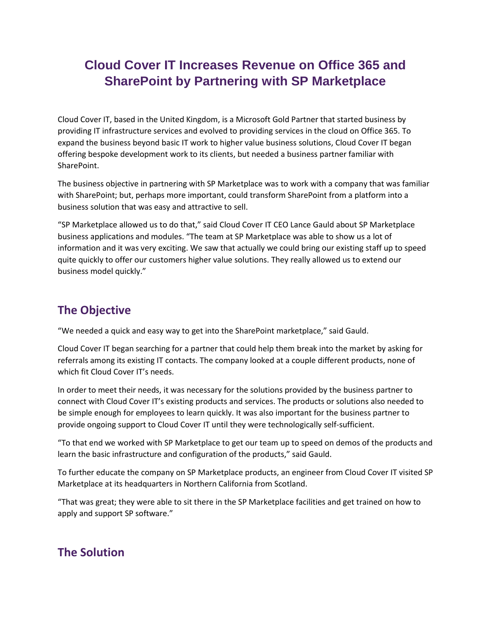## **Cloud Cover IT Increases Revenue on Office 365 and SharePoint by Partnering with SP Marketplace**

Cloud Cover IT, based in the United Kingdom, is a Microsoft Gold Partner that started business by providing IT infrastructure services and evolved to providing services in the cloud on Office 365. To expand the business beyond basic IT work to higher value business solutions, Cloud Cover IT began offering bespoke development work to its clients, but needed a business partner familiar with SharePoint.

The business objective in partnering with SP Marketplace was to work with a company that was familiar with SharePoint; but, perhaps more important, could transform SharePoint from a platform into a business solution that was easy and attractive to sell.

"SP Marketplace allowed us to do that," said Cloud Cover IT CEO Lance Gauld about SP Marketplace business applications and modules. "The team at SP Marketplace was able to show us a lot of information and it was very exciting. We saw that actually we could bring our existing staff up to speed quite quickly to offer our customers higher value solutions. They really allowed us to extend our business model quickly."

## **The Objective**

"We needed a quick and easy way to get into the SharePoint marketplace," said Gauld.

Cloud Cover IT began searching for a partner that could help them break into the market by asking for referrals among its existing IT contacts. The company looked at a couple different products, none of which fit Cloud Cover IT's needs.

In order to meet their needs, it was necessary for the solutions provided by the business partner to connect with Cloud Cover IT's existing products and services. The products or solutions also needed to be simple enough for employees to learn quickly. It was also important for the business partner to provide ongoing support to Cloud Cover IT until they were technologically self-sufficient.

"To that end we worked with SP Marketplace to get our team up to speed on demos of the products and learn the basic infrastructure and configuration of the products," said Gauld.

To further educate the company on SP Marketplace products, an engineer from Cloud Cover IT visited SP Marketplace at its headquarters in Northern California from Scotland.

"That was great; they were able to sit there in the SP Marketplace facilities and get trained on how to apply and support SP software."

## **The Solution**